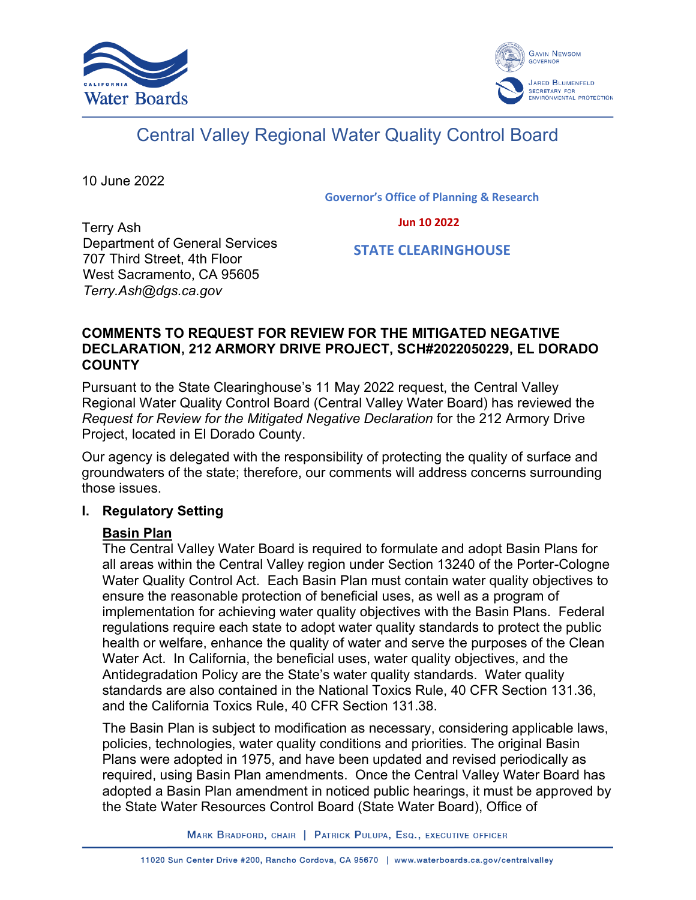



# Central Valley Regional Water Quality Control Board

10 June 2022

**Governor's Office of Planning & Research**

 **Jun 10 2022**

Terry Ash Department of General Services 707 Third Street, 4th Floor West Sacramento, CA 95605 *Terry.Ash@dgs.ca.gov*

 **STATE CLEARINGHOUSE**

## **COMMENTS TO REQUEST FOR REVIEW FOR THE MITIGATED NEGATIVE DECLARATION, 212 ARMORY DRIVE PROJECT, SCH#2022050229, EL DORADO COUNTY**

Pursuant to the State Clearinghouse's 11 May 2022 request, the Central Valley Regional Water Quality Control Board (Central Valley Water Board) has reviewed the *Request for Review for the Mitigated Negative Declaration* for the 212 Armory Drive Project, located in El Dorado County.

Our agency is delegated with the responsibility of protecting the quality of surface and groundwaters of the state; therefore, our comments will address concerns surrounding those issues.

## **I. Regulatory Setting**

## **Basin Plan**

The Central Valley Water Board is required to formulate and adopt Basin Plans for all areas within the Central Valley region under Section 13240 of the Porter-Cologne Water Quality Control Act. Each Basin Plan must contain water quality objectives to ensure the reasonable protection of beneficial uses, as well as a program of implementation for achieving water quality objectives with the Basin Plans. Federal regulations require each state to adopt water quality standards to protect the public health or welfare, enhance the quality of water and serve the purposes of the Clean Water Act. In California, the beneficial uses, water quality objectives, and the Antidegradation Policy are the State's water quality standards. Water quality standards are also contained in the National Toxics Rule, 40 CFR Section 131.36, and the California Toxics Rule, 40 CFR Section 131.38.

The Basin Plan is subject to modification as necessary, considering applicable laws, policies, technologies, water quality conditions and priorities. The original Basin Plans were adopted in 1975, and have been updated and revised periodically as required, using Basin Plan amendments. Once the Central Valley Water Board has adopted a Basin Plan amendment in noticed public hearings, it must be approved by the State Water Resources Control Board (State Water Board), Office of

MARK BRADFORD, CHAIR | PATRICK PULUPA, ESQ., EXECUTIVE OFFICER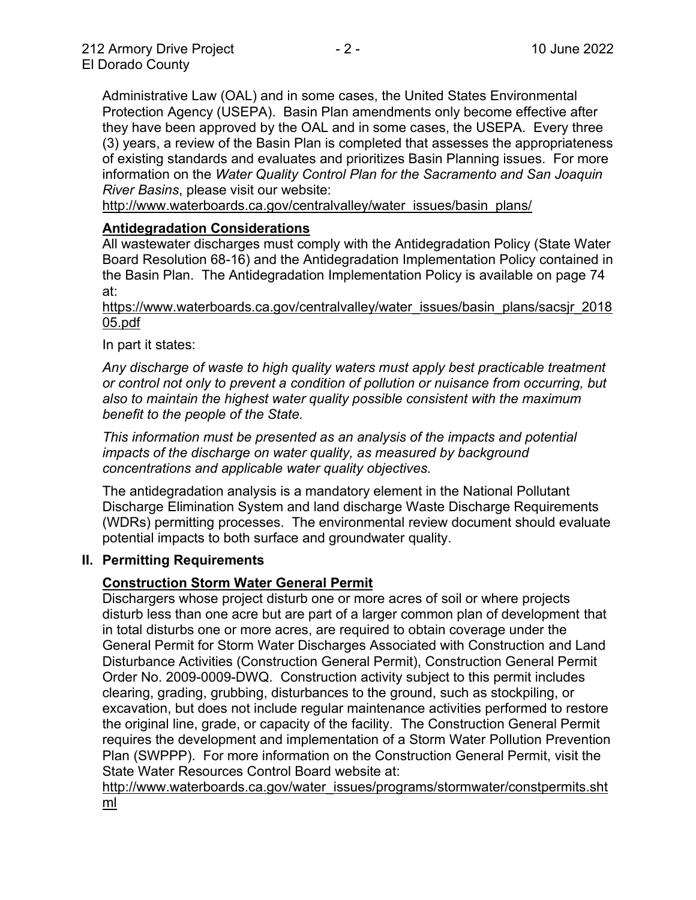Administrative Law (OAL) and in some cases, the United States Environmental Protection Agency (USEPA). Basin Plan amendments only become effective after they have been approved by the OAL and in some cases, the USEPA. Every three (3) years, a review of the Basin Plan is completed that assesses the appropriateness of existing standards and evaluates and prioritizes Basin Planning issues. For more information on the *Water Quality Control Plan for the Sacramento and San Joaquin River Basins*, please visit our website:

[http://www.waterboards.ca.gov/centralvalley/water\\_issues/basin\\_plans/](http://www.waterboards.ca.gov/centralvalley/water_issues/basin_plans/)

## **Antidegradation Considerations**

All wastewater discharges must comply with the Antidegradation Policy (State Water Board Resolution 68-16) and the Antidegradation Implementation Policy contained in the Basin Plan. The Antidegradation Implementation Policy is available on page 74 at:

https://www.waterboards.ca.gov/centralvalley/water\_issues/basin\_plans/sacsjr\_2018 05.pdf

In part it states:

*Any discharge of waste to high quality waters must apply best practicable treatment or control not only to prevent a condition of pollution or nuisance from occurring, but also to maintain the highest water quality possible consistent with the maximum benefit to the people of the State.*

*This information must be presented as an analysis of the impacts and potential impacts of the discharge on water quality, as measured by background concentrations and applicable water quality objectives.*

The antidegradation analysis is a mandatory element in the National Pollutant Discharge Elimination System and land discharge Waste Discharge Requirements (WDRs) permitting processes. The environmental review document should evaluate potential impacts to both surface and groundwater quality.

## **II. Permitting Requirements**

## **Construction Storm Water General Permit**

Dischargers whose project disturb one or more acres of soil or where projects disturb less than one acre but are part of a larger common plan of development that in total disturbs one or more acres, are required to obtain coverage under the General Permit for Storm Water Discharges Associated with Construction and Land Disturbance Activities (Construction General Permit), Construction General Permit Order No. 2009-0009-DWQ. Construction activity subject to this permit includes clearing, grading, grubbing, disturbances to the ground, such as stockpiling, or excavation, but does not include regular maintenance activities performed to restore the original line, grade, or capacity of the facility. The Construction General Permit requires the development and implementation of a Storm Water Pollution Prevention Plan (SWPPP). For more information on the Construction General Permit, visit the State Water Resources Control Board website at:

[http://www.waterboards.ca.gov/water\\_issues/programs/stormwater/constpermits.sht](http://www.waterboards.ca.gov/water_issues/programs/stormwater/constpermits.shtml) [ml](http://www.waterboards.ca.gov/water_issues/programs/stormwater/constpermits.shtml)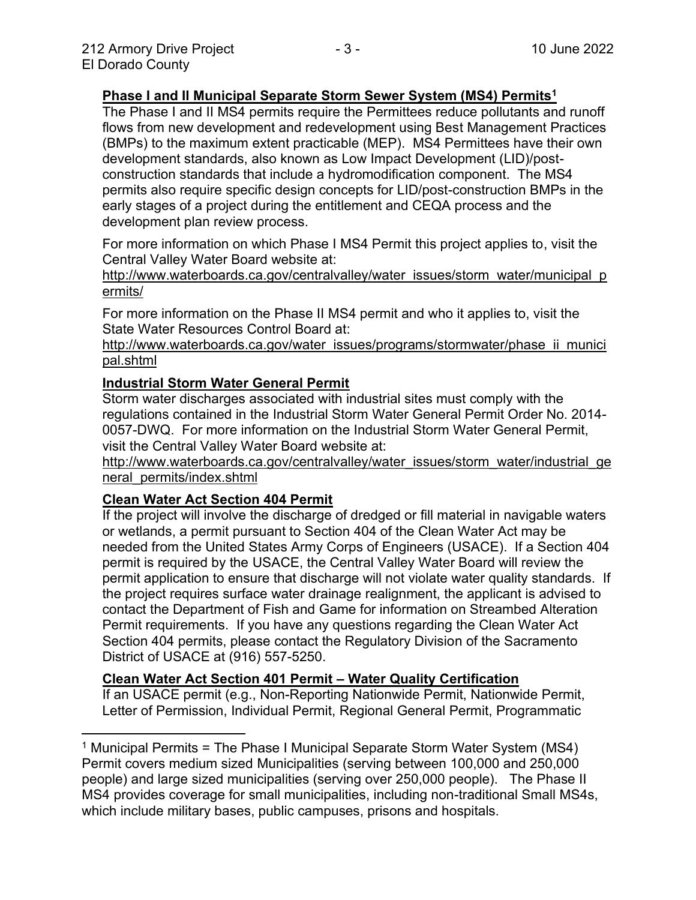## **Phase I and II Municipal Separate Storm Sewer System (MS4) Permits<sup>1</sup>**

The Phase I and II MS4 permits require the Permittees reduce pollutants and runoff flows from new development and redevelopment using Best Management Practices (BMPs) to the maximum extent practicable (MEP). MS4 Permittees have their own development standards, also known as Low Impact Development (LID)/postconstruction standards that include a hydromodification component. The MS4 permits also require specific design concepts for LID/post-construction BMPs in the early stages of a project during the entitlement and CEQA process and the development plan review process.

For more information on which Phase I MS4 Permit this project applies to, visit the Central Valley Water Board website at:

http://www.waterboards.ca.gov/centralvalley/water\_issues/storm\_water/municipal\_p ermits/

For more information on the Phase II MS4 permit and who it applies to, visit the State Water Resources Control Board at:

http://www.waterboards.ca.gov/water\_issues/programs/stormwater/phase\_ii\_munici pal.shtml

#### **Industrial Storm Water General Permit**

Storm water discharges associated with industrial sites must comply with the regulations contained in the Industrial Storm Water General Permit Order No. 2014- 0057-DWQ. For more information on the Industrial Storm Water General Permit, visit the Central Valley Water Board website at:

http://www.waterboards.ca.gov/centralvalley/water\_issues/storm\_water/industrial\_ge neral\_permits/index.shtml

## **Clean Water Act Section 404 Permit**

If the project will involve the discharge of dredged or fill material in navigable waters or wetlands, a permit pursuant to Section 404 of the Clean Water Act may be needed from the United States Army Corps of Engineers (USACE). If a Section 404 permit is required by the USACE, the Central Valley Water Board will review the permit application to ensure that discharge will not violate water quality standards. If the project requires surface water drainage realignment, the applicant is advised to contact the Department of Fish and Game for information on Streambed Alteration Permit requirements. If you have any questions regarding the Clean Water Act Section 404 permits, please contact the Regulatory Division of the Sacramento District of USACE at (916) 557-5250.

#### **Clean Water Act Section 401 Permit – Water Quality Certification**

If an USACE permit (e.g., Non-Reporting Nationwide Permit, Nationwide Permit, Letter of Permission, Individual Permit, Regional General Permit, Programmatic

<sup>&</sup>lt;sup>1</sup> Municipal Permits = The Phase I Municipal Separate Storm Water System (MS4) Permit covers medium sized Municipalities (serving between 100,000 and 250,000 people) and large sized municipalities (serving over 250,000 people). The Phase II MS4 provides coverage for small municipalities, including non-traditional Small MS4s, which include military bases, public campuses, prisons and hospitals.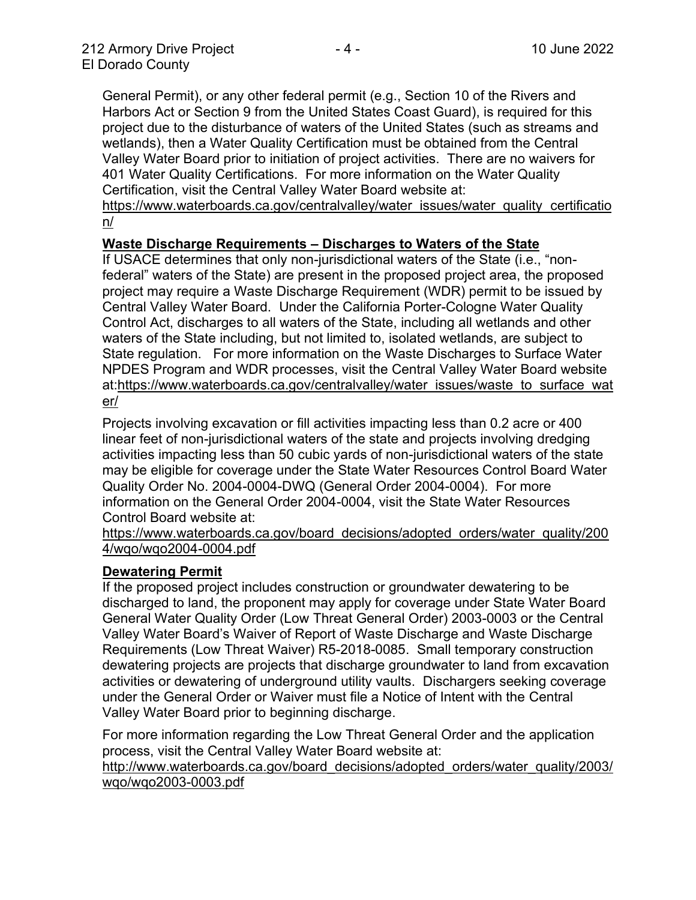General Permit), or any other federal permit (e.g., Section 10 of the Rivers and Harbors Act or Section 9 from the United States Coast Guard), is required for this project due to the disturbance of waters of the United States (such as streams and wetlands), then a Water Quality Certification must be obtained from the Central Valley Water Board prior to initiation of project activities. There are no waivers for 401 Water Quality Certifications. For more information on the Water Quality Certification, visit the Central Valley Water Board website at:

https://www.waterboards.ca.gov/centralvalley/water\_issues/water\_quality\_certificatio n/

## **Waste Discharge Requirements – Discharges to Waters of the State**

If USACE determines that only non-jurisdictional waters of the State (i.e., "nonfederal" waters of the State) are present in the proposed project area, the proposed project may require a Waste Discharge Requirement (WDR) permit to be issued by Central Valley Water Board. Under the California Porter-Cologne Water Quality Control Act, discharges to all waters of the State, including all wetlands and other waters of the State including, but not limited to, isolated wetlands, are subject to State regulation. For more information on the Waste Discharges to Surface Water NPDES Program and WDR processes, visit the Central Valley Water Board website at:https://www.waterboards.ca.gov/centralvalley/water\_issues/waste\_to\_surface\_wat er/

Projects involving excavation or fill activities impacting less than 0.2 acre or 400 linear feet of non-jurisdictional waters of the state and projects involving dredging activities impacting less than 50 cubic yards of non-jurisdictional waters of the state may be eligible for coverage under the State Water Resources Control Board Water Quality Order No. 2004-0004-DWQ (General Order 2004-0004). For more information on the General Order 2004-0004, visit the State Water Resources Control Board website at:

https://www.waterboards.ca.gov/board\_decisions/adopted\_orders/water\_quality/200 4/wqo/wqo2004-0004.pdf

#### **Dewatering Permit**

If the proposed project includes construction or groundwater dewatering to be discharged to land, the proponent may apply for coverage under State Water Board General Water Quality Order (Low Threat General Order) 2003-0003 or the Central Valley Water Board's Waiver of Report of Waste Discharge and Waste Discharge Requirements (Low Threat Waiver) R5-2018-0085. Small temporary construction dewatering projects are projects that discharge groundwater to land from excavation activities or dewatering of underground utility vaults. Dischargers seeking coverage under the General Order or Waiver must file a Notice of Intent with the Central Valley Water Board prior to beginning discharge.

For more information regarding the Low Threat General Order and the application process, visit the Central Valley Water Board website at:

http://www.waterboards.ca.gov/board decisions/adopted orders/water quality/2003/ wqo/wqo2003-0003.pdf